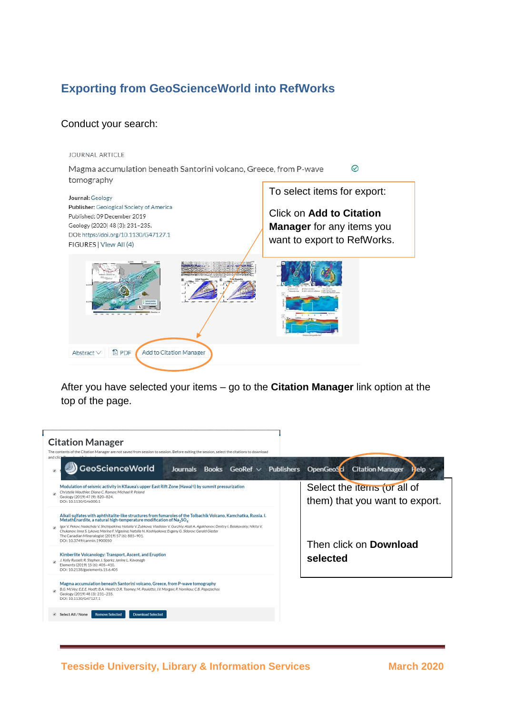## **Exporting from GeoScienceWorld into RefWorks**

## Conduct your search:

JOURNAL ARTICLE Magma accumulation beneath Santorini volcano, Greece, from P-wave  $\odot$ tomography To select items for export: Journal: Geology Publisher: Geological Society of America Click on **Add to Citation**  Published: 09 December 2019 Geology (2020) 48 (3): 231-235. **Manager** for any items you DOI: https://doi.org/10.1130/G47127.1 want to export to RefWorks. FIGURES | View All (4) <sup>1</sup><br>图 PDF Add to Citation Manager Abstract $\vee$ 

After you have selected your items – go to the **Citation Manager** link option at the top of the page.

| <b>Citation Manager</b><br>The contents of the Citation Manager are not saved from session to session. Before exiting the session, select the citations to download<br>and clic                                                                                                                                                                                                                                                                                                                                                                   |                                                               |
|---------------------------------------------------------------------------------------------------------------------------------------------------------------------------------------------------------------------------------------------------------------------------------------------------------------------------------------------------------------------------------------------------------------------------------------------------------------------------------------------------------------------------------------------------|---------------------------------------------------------------|
| GeoScienceWorld<br><b>Journals</b><br>Books $GeoRef \vee$ Publishers                                                                                                                                                                                                                                                                                                                                                                                                                                                                              | OpenGeoSci Citation Manager<br>Help $\vee$                    |
| Modulation of seismic activity in Kilauea's upper East Rift Zone (Hawai'i) by summit pressurization<br>Christelle Wauthier; Diana C. Roman; Michael P. Poland<br>Geology (2019) 47 (9): 820-824.<br>DOI: 10.1130/G46000.1                                                                                                                                                                                                                                                                                                                         | Select the items (or all of<br>them) that you want to export. |
| Alkali sulfates with aphthitalite-like structures from fumaroles of the Tolbachik Volcano, Kamchatka, Russia, I.<br>MetathEnardite, a natural high-temperature modification of $\text{Na}_2\text{SO}_4$<br>Igor V. Pekov; Nadezhda V. Shchipalkina; Natalia V. Zubkova; Vladislav V. Gurzhiy; Atali A. Agakhanov; Dmitry I. Belakovskiy; Nikita V.<br>Chukanov; Inna S. Lykova; Marina F. Vigasina; Natalia N. Koshlyakova; Evgeny G. Sidorov; Gerald Giester<br>The Canadian Mineralogist (2019) 57 (6): 885-901.<br>DOI: 10.3749/canmin.1900050 | Then click on <b>Download</b>                                 |
| Kimberlite Volcanology: Transport, Ascent, and Eruption<br>J. Kelly Russell; R. Stephen J. Sparks; Janine L. Kavanagh<br>Elements (2019) 15 (6): 405-410.<br>DOI: 10.2138/gselements.15.6.405                                                                                                                                                                                                                                                                                                                                                     | selected                                                      |
| Magma accumulation beneath Santorini volcano, Greece, from P-wave tomography<br>B.G. McVey; E.E.E. Hooft; B.A. Heath; D.R. Toomey; M. Paulatto; J.V. Morgan; P. Nomikou; C.B. Papazachos<br>Geology (2019) 48 (3): 231-235.<br>DOI: 10.1130/G47127.1                                                                                                                                                                                                                                                                                              |                                                               |
| <b>Download Selected</b><br>Select All / None<br><b>Remove Selected</b>                                                                                                                                                                                                                                                                                                                                                                                                                                                                           |                                                               |

**Teesside University, Library & Information Services March 2020**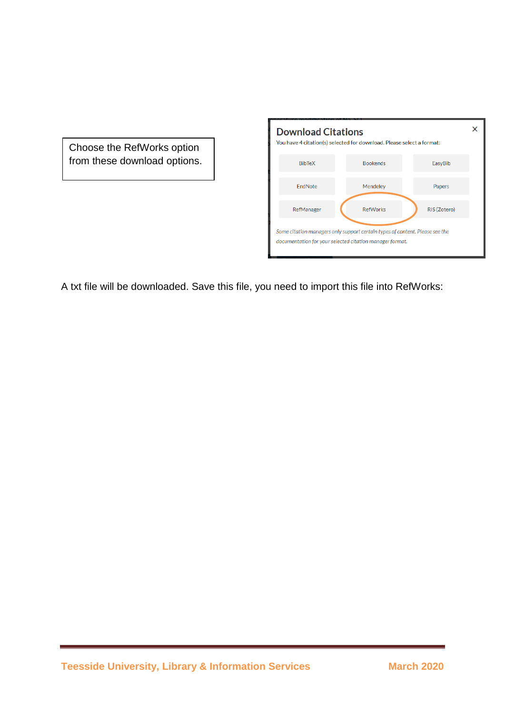Choose the RefWorks option from these download options.

| <b>Download Citations</b> | You have 4 citation(s) selected for download. Please select a format:                                                                    |              |
|---------------------------|------------------------------------------------------------------------------------------------------------------------------------------|--------------|
| <b>BibTeX</b>             | <b>Bookends</b>                                                                                                                          | EasyBib      |
| EndNote                   | Mendeley                                                                                                                                 | Papers       |
| RefManager                | <b>RefWorks</b>                                                                                                                          | RIS (Zotero) |
|                           | Some citation managers only support certain types of content. Please see the<br>documentation for your selected citation manager format. |              |

A txt file will be downloaded. Save this file, you need to import this file into RefWorks: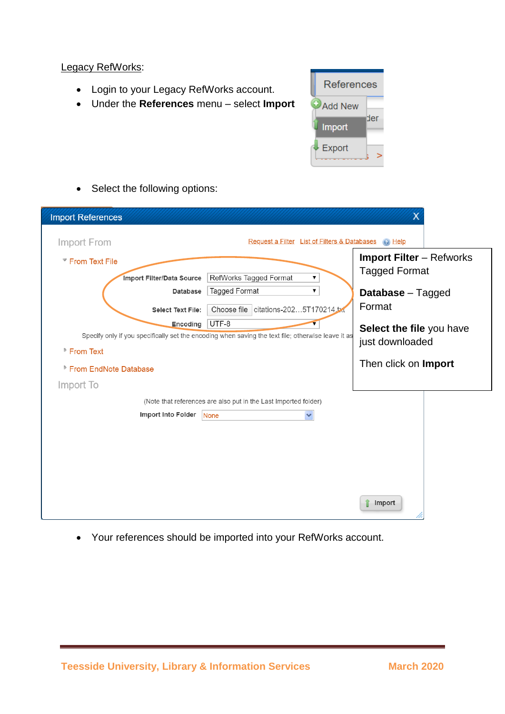## Legacy RefWorks:

- Login to your Legacy RefWorks account.
- Under the **References** menu select **Import**



• Select the following options:

| <b>Import References</b>                                                                                                                                                                                         |                                                                                                         | х                                                                                                                                                   |
|------------------------------------------------------------------------------------------------------------------------------------------------------------------------------------------------------------------|---------------------------------------------------------------------------------------------------------|-----------------------------------------------------------------------------------------------------------------------------------------------------|
| Import From                                                                                                                                                                                                      | Request a Filter List of Filters & Databases @ Help                                                     |                                                                                                                                                     |
| <b>▼ From Text File</b><br>Import Filter/Data Source<br>Database<br>Select Text File:<br>UTF-8<br>Encoding<br>Specify only if you specifically set the encoding when saving the text file; otherwise leave it as | RefWorks Tagged Format<br>$\pmb{\nabla}$<br>Tagged Format<br>▼<br>Choose file citations-2025T170214.txt | <b>Import Filter</b> - Refworks<br><b>Tagged Format</b><br><b>Database</b> – Tagged<br>Format<br><b>Select the file you have</b><br>just downloaded |
| ▶ From Text<br>▶ From EndNote Database<br>Import To                                                                                                                                                              |                                                                                                         | Then click on Import                                                                                                                                |
| Import Into Folder<br>None                                                                                                                                                                                       | (Note that references are also put in the Last Imported folder)<br>$\checkmark$                         |                                                                                                                                                     |
|                                                                                                                                                                                                                  |                                                                                                         | Import                                                                                                                                              |

Your references should be imported into your RefWorks account.